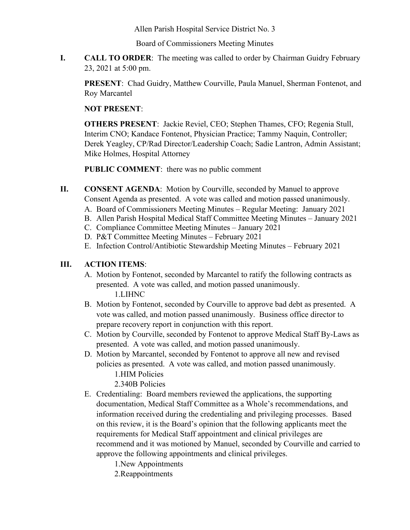Allen Parish Hospital Service District No. 3

Board of Commissioners Meeting Minutes

**I. CALL TO ORDER**: The meeting was called to order by Chairman Guidry February 23, 2021 at 5:00 pm.

**PRESENT**: Chad Guidry, Matthew Courville, Paula Manuel, Sherman Fontenot, and Roy Marcantel

## **NOT PRESENT**:

**OTHERS PRESENT**: Jackie Reviel, CEO; Stephen Thames, CFO; Regenia Stull, Interim CNO; Kandace Fontenot, Physician Practice; Tammy Naquin, Controller; Derek Yeagley, CP/Rad Director/Leadership Coach; Sadie Lantron, Admin Assistant; Mike Holmes, Hospital Attorney

**PUBLIC COMMENT**: there was no public comment

- **II. CONSENT AGENDA**: Motion by Courville, seconded by Manuel to approve Consent Agenda as presented. A vote was called and motion passed unanimously.
	- A. Board of Commissioners Meeting Minutes Regular Meeting: January 2021
	- B. Allen Parish Hospital Medical Staff Committee Meeting Minutes January 2021
	- C. Compliance Committee Meeting Minutes January 2021
	- D. P&T Committee Meeting Minutes February 2021
	- E. Infection Control/Antibiotic Stewardship Meeting Minutes February 2021

## **III. ACTION ITEMS**:

- A. Motion by Fontenot, seconded by Marcantel to ratify the following contracts as presented. A vote was called, and motion passed unanimously. 1.LIHNC
- B. Motion by Fontenot, seconded by Courville to approve bad debt as presented. A vote was called, and motion passed unanimously. Business office director to prepare recovery report in conjunction with this report.
- C. Motion by Courville, seconded by Fontenot to approve Medical Staff By-Laws as presented. A vote was called, and motion passed unanimously.
- D. Motion by Marcantel, seconded by Fontenot to approve all new and revised policies as presented. A vote was called, and motion passed unanimously. 1.HIM Policies
	- 2.340B Policies
- E. Credentialing: Board members reviewed the applications, the supporting documentation, Medical Staff Committee as a Whole's recommendations, and information received during the credentialing and privileging processes. Based on this review, it is the Board's opinion that the following applicants meet the requirements for Medical Staff appointment and clinical privileges are recommend and it was motioned by Manuel, seconded by Courville and carried to approve the following appointments and clinical privileges.

1.New Appointments

2.Reappointments